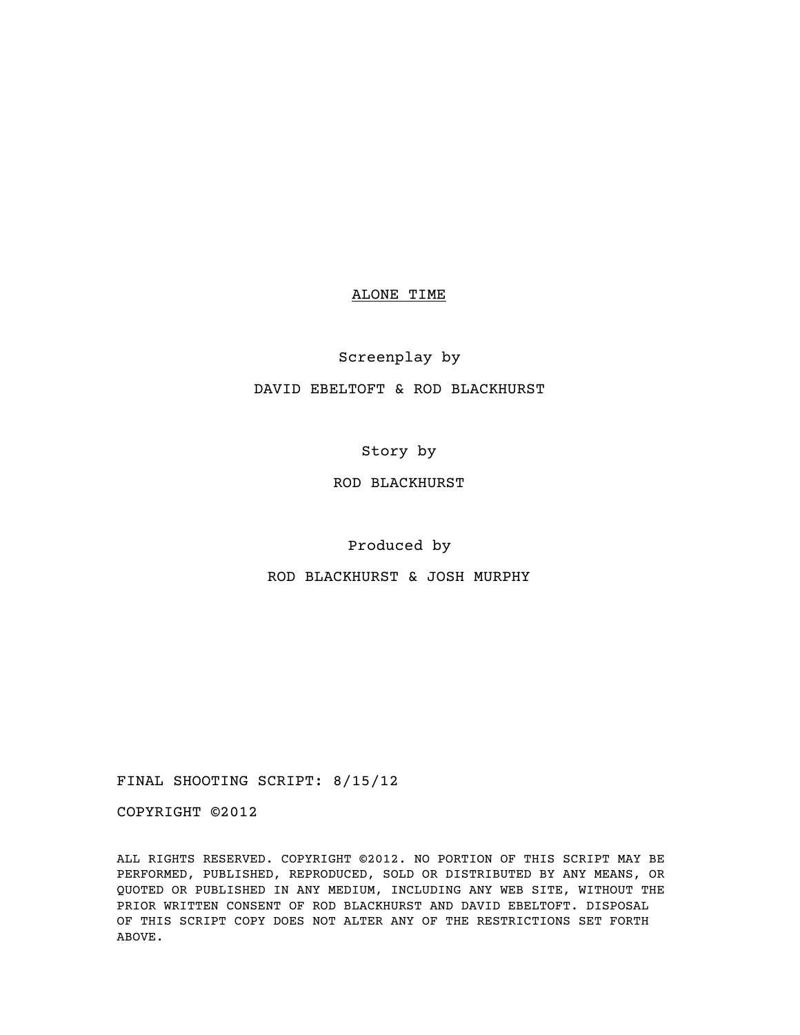### ALONE TIME

### Screenplay by

## DAVID EBELTOFT & ROD BLACKHURST

Story by

# ROD BLACKHURST

Produced by

ROD BLACKHURST & JOSH MURPHY

FINAL SHOOTING SCRIPT: 8/15/12

COPYRIGHT ©2012

ALL RIGHTS RESERVED. COPYRIGHT ©2012. NO PORTION OF THIS SCRIPT MAY BE PERFORMED, PUBLISHED, REPRODUCED, SOLD OR DISTRIBUTED BY ANY MEANS, OR QUOTED OR PUBLISHED IN ANY MEDIUM, INCLUDING ANY WEB SITE, WITHOUT THE PRIOR WRITTEN CONSENT OF ROD BLACKHURST AND DAVID EBELTOFT. DISPOSAL OF THIS SCRIPT COPY DOES NOT ALTER ANY OF THE RESTRICTIONS SET FORTH ABOVE.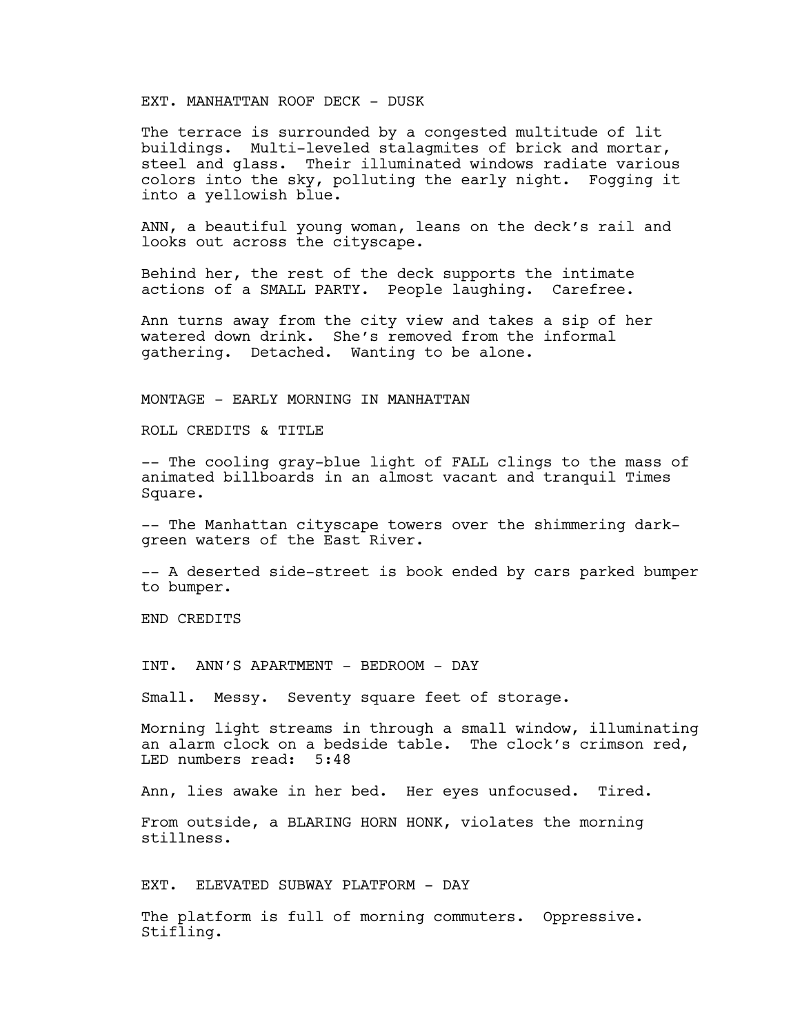### EXT. MANHATTAN ROOF DECK - DUSK

The terrace is surrounded by a congested multitude of lit buildings. Multi-leveled stalagmites of brick and mortar, steel and glass. Their illuminated windows radiate various colors into the sky, polluting the early night. Fogging it into a yellowish blue.

ANN, a beautiful young woman, leans on the deck's rail and looks out across the cityscape.

Behind her, the rest of the deck supports the intimate actions of a SMALL PARTY. People laughing. Carefree.

Ann turns away from the city view and takes a sip of her watered down drink. She's removed from the informal gathering. Detached. Wanting to be alone.

MONTAGE - EARLY MORNING IN MANHATTAN

ROLL CREDITS & TITLE

-- The cooling gray-blue light of FALL clings to the mass of animated billboards in an almost vacant and tranquil Times Square.

-- The Manhattan cityscape towers over the shimmering darkgreen waters of the East River.

-- A deserted side-street is book ended by cars parked bumper to bumper.

END CREDITS

INT. ANN'S APARTMENT - BEDROOM - DAY

Small. Messy. Seventy square feet of storage.

Morning light streams in through a small window, illuminating an alarm clock on a bedside table. The clock's crimson red, LED numbers read: 5:48

Ann, lies awake in her bed. Her eyes unfocused. Tired.

From outside, a BLARING HORN HONK, violates the morning stillness.

EXT. ELEVATED SUBWAY PLATFORM - DAY

The platform is full of morning commuters. Oppressive. Stifling.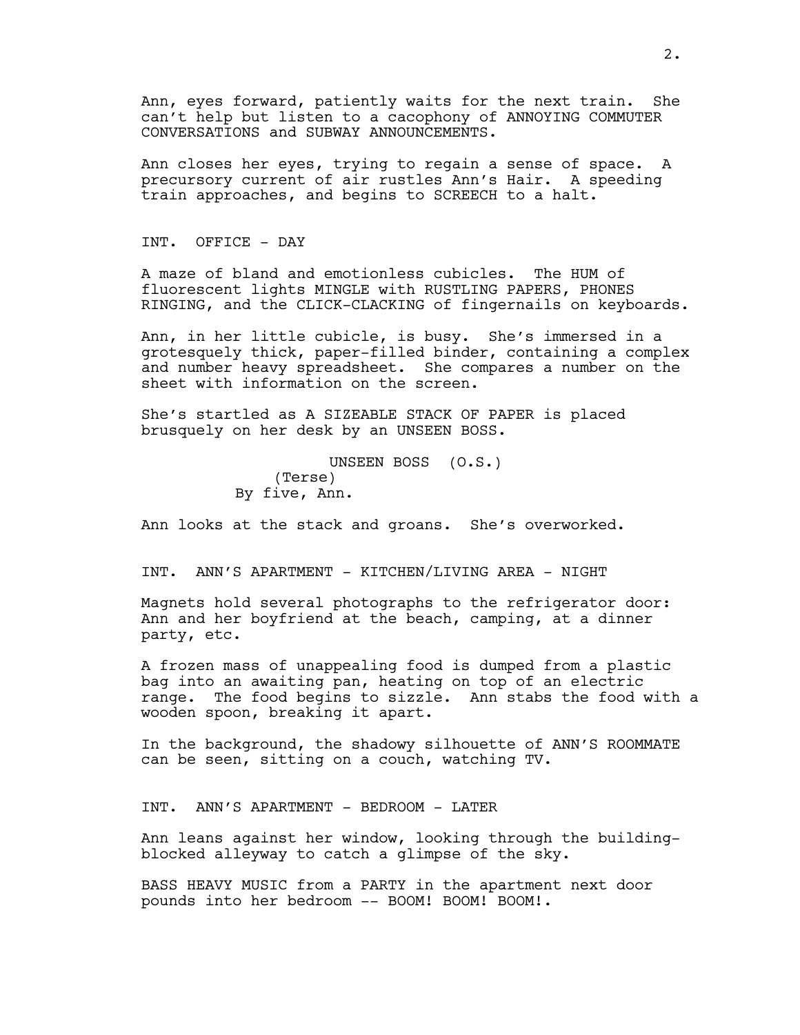Ann, eyes forward, patiently waits for the next train. She can't help but listen to a cacophony of ANNOYING COMMUTER CONVERSATIONS and SUBWAY ANNOUNCEMENTS.

Ann closes her eyes, trying to regain a sense of space. A precursory current of air rustles Ann's Hair. A speeding train approaches, and begins to SCREECH to a halt.

INT. OFFICE - DAY

A maze of bland and emotionless cubicles. The HUM of fluorescent lights MINGLE with RUSTLING PAPERS, PHONES RINGING, and the CLICK-CLACKING of fingernails on keyboards.

Ann, in her little cubicle, is busy. She's immersed in a grotesquely thick, paper-filled binder, containing a complex and number heavy spreadsheet. She compares a number on the sheet with information on the screen.

She's startled as A SIZEABLE STACK OF PAPER is placed brusquely on her desk by an UNSEEN BOSS.

> UNSEEN BOSS (O.S.) (Terse) By five, Ann.

Ann looks at the stack and groans. She's overworked.

INT. ANN'S APARTMENT - KITCHEN/LIVING AREA - NIGHT

Magnets hold several photographs to the refrigerator door: Ann and her boyfriend at the beach, camping, at a dinner party, etc.

A frozen mass of unappealing food is dumped from a plastic bag into an awaiting pan, heating on top of an electric range. The food begins to sizzle. Ann stabs the food with a wooden spoon, breaking it apart.

In the background, the shadowy silhouette of ANN'S ROOMMATE can be seen, sitting on a couch, watching TV.

INT. ANN'S APARTMENT - BEDROOM - LATER

Ann leans against her window, looking through the buildingblocked alleyway to catch a glimpse of the sky.

BASS HEAVY MUSIC from a PARTY in the apartment next door pounds into her bedroom -- BOOM! BOOM! BOOM!.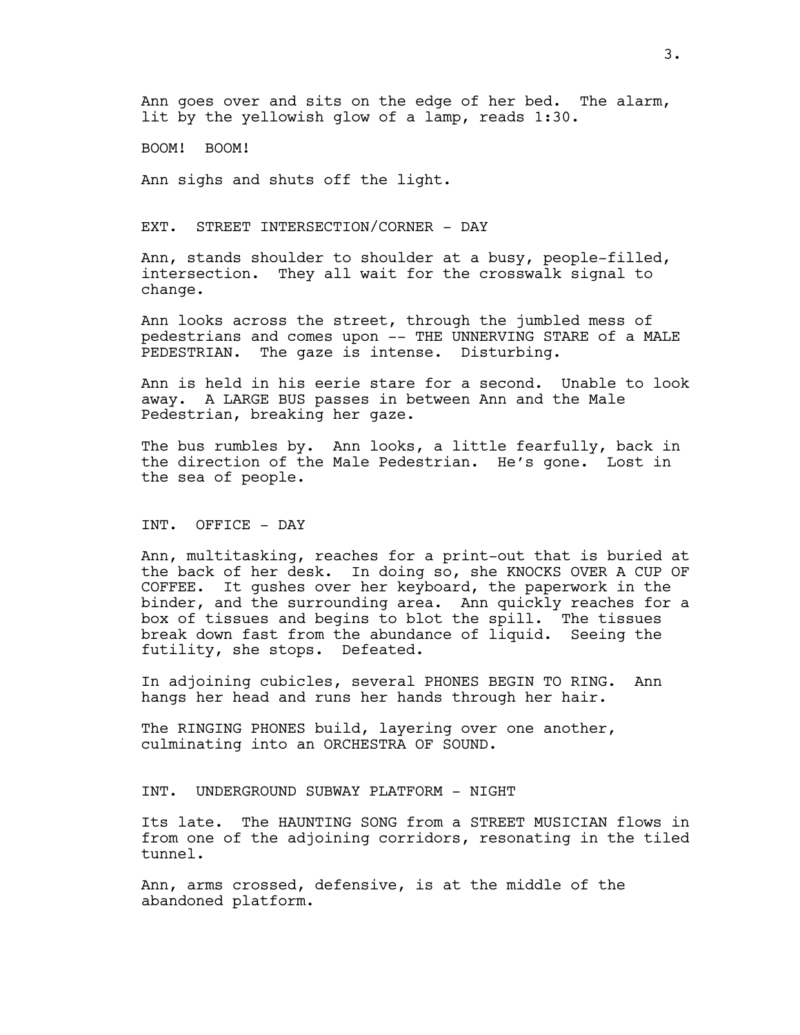Ann goes over and sits on the edge of her bed. The alarm, lit by the yellowish glow of a lamp, reads 1:30.

BOOM! BOOM!

Ann sighs and shuts off the light.

EXT. STREET INTERSECTION/CORNER - DAY

Ann, stands shoulder to shoulder at a busy, people-filled, intersection. They all wait for the crosswalk signal to change.

Ann looks across the street, through the jumbled mess of pedestrians and comes upon -- THE UNNERVING STARE of a MALE PEDESTRIAN. The gaze is intense. Disturbing.

Ann is held in his eerie stare for a second. Unable to look away. A LARGE BUS passes in between Ann and the Male Pedestrian, breaking her gaze.

The bus rumbles by. Ann looks, a little fearfully, back in the direction of the Male Pedestrian. He's gone. Lost in the sea of people.

INT. OFFICE - DAY

Ann, multitasking, reaches for a print-out that is buried at the back of her desk. In doing so, she KNOCKS OVER A CUP OF COFFEE. It gushes over her keyboard, the paperwork in the binder, and the surrounding area. Ann quickly reaches for a box of tissues and begins to blot the spill. The tissues break down fast from the abundance of liquid. Seeing the futility, she stops. Defeated.

In adjoining cubicles, several PHONES BEGIN TO RING. Ann hangs her head and runs her hands through her hair.

The RINGING PHONES build, layering over one another, culminating into an ORCHESTRA OF SOUND.

INT. UNDERGROUND SUBWAY PLATFORM - NIGHT

Its late. The HAUNTING SONG from a STREET MUSICIAN flows in from one of the adjoining corridors, resonating in the tiled tunnel.

Ann, arms crossed, defensive, is at the middle of the abandoned platform.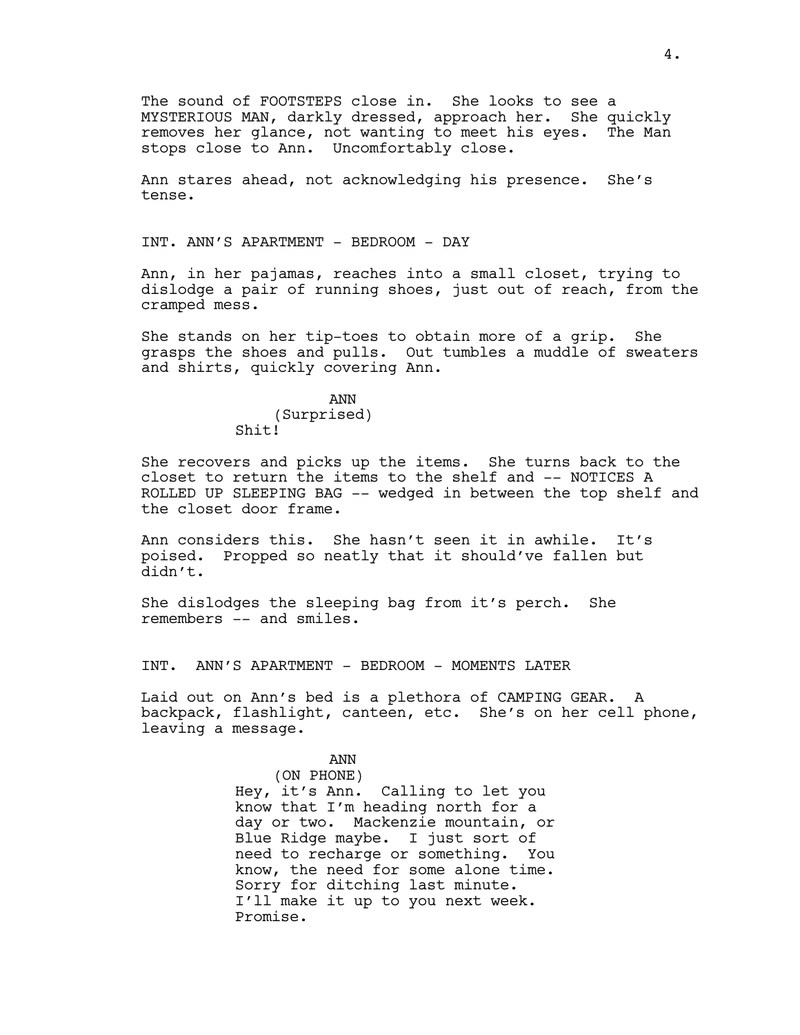The sound of FOOTSTEPS close in. She looks to see a MYSTERIOUS MAN, darkly dressed, approach her. She quickly removes her glance, not wanting to meet his eyes. The Man stops close to Ann. Uncomfortably close.

Ann stares ahead, not acknowledging his presence. She's tense.

INT. ANN'S APARTMENT - BEDROOM - DAY

Ann, in her pajamas, reaches into a small closet, trying to dislodge a pair of running shoes, just out of reach, from the cramped mess.

She stands on her tip-toes to obtain more of a grip. She grasps the shoes and pulls. Out tumbles a muddle of sweaters and shirts, quickly covering Ann.

> ANN (Surprised) Shit!

She recovers and picks up the items. She turns back to the closet to return the items to the shelf and -- NOTICES A ROLLED UP SLEEPING BAG -- wedged in between the top shelf and the closet door frame.

Ann considers this. She hasn't seen it in awhile. It's poised. Propped so neatly that it should've fallen but didn't.

She dislodges the sleeping bag from it's perch. She remembers -- and smiles.

INT. ANN'S APARTMENT - BEDROOM - MOMENTS LATER

Laid out on Ann's bed is a plethora of CAMPING GEAR. A backpack, flashlight, canteen, etc. She's on her cell phone, leaving a message.

## ANN

(ON PHONE) Hey, it's Ann. Calling to let you know that I'm heading north for a day or two. Mackenzie mountain, or Blue Ridge maybe. I just sort of need to recharge or something. You know, the need for some alone time. Sorry for ditching last minute. I'll make it up to you next week. Promise.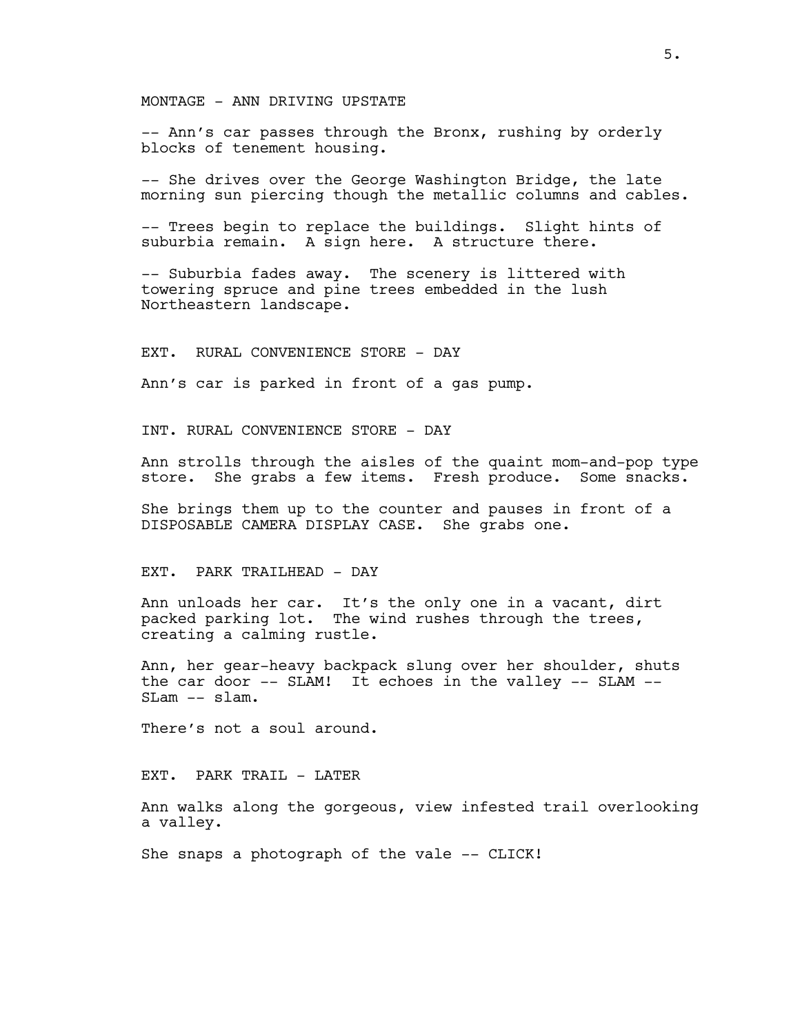MONTAGE - ANN DRIVING UPSTATE

-- Ann's car passes through the Bronx, rushing by orderly blocks of tenement housing.

-- She drives over the George Washington Bridge, the late morning sun piercing though the metallic columns and cables.

-- Trees begin to replace the buildings. Slight hints of suburbia remain. A sign here. A structure there.

-- Suburbia fades away. The scenery is littered with towering spruce and pine trees embedded in the lush Northeastern landscape.

EXT. RURAL CONVENIENCE STORE - DAY

Ann's car is parked in front of a gas pump.

INT. RURAL CONVENIENCE STORE - DAY

Ann strolls through the aisles of the quaint mom-and-pop type store. She grabs a few items. Fresh produce. Some snacks.

She brings them up to the counter and pauses in front of a DISPOSABLE CAMERA DISPLAY CASE. She grabs one.

### EXT. PARK TRAILHEAD - DAY

Ann unloads her car. It's the only one in a vacant, dirt packed parking lot. The wind rushes through the trees, creating a calming rustle.

Ann, her gear-heavy backpack slung over her shoulder, shuts the car door -- SLAM! It echoes in the valley -- SLAM -- SLam -- slam.

There's not a soul around.

EXT. PARK TRAIL - LATER

Ann walks along the gorgeous, view infested trail overlooking a valley.

She snaps a photograph of the vale -- CLICK!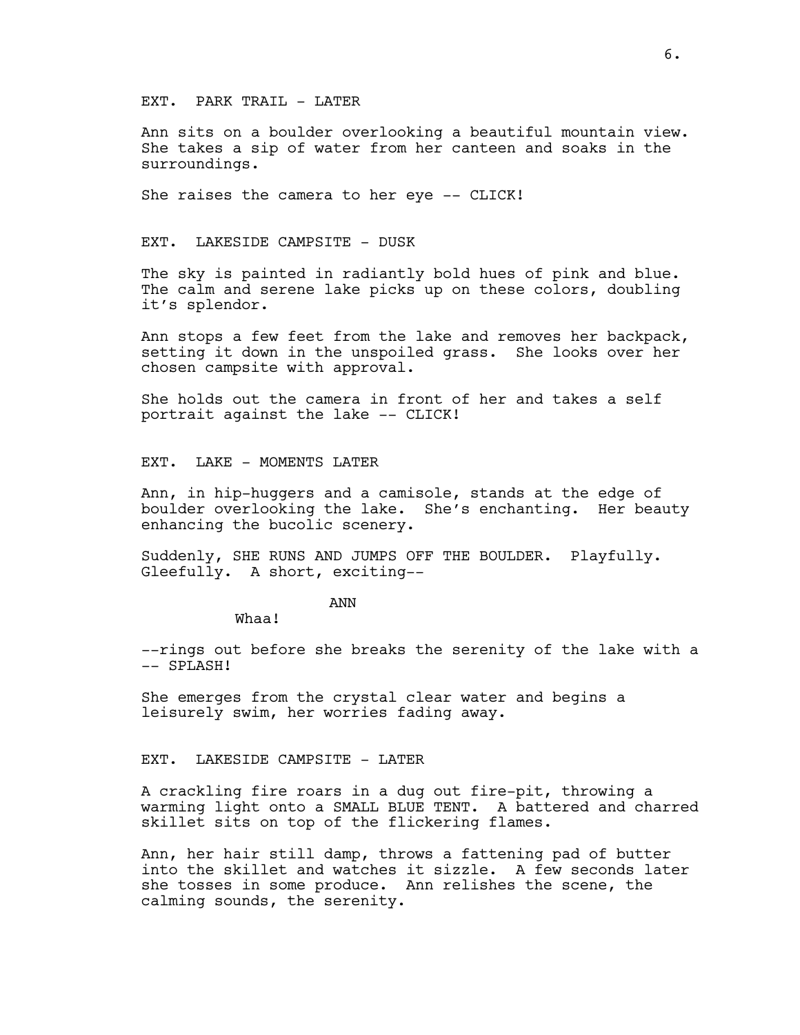#### EXT. PARK TRAIL - LATER

Ann sits on a boulder overlooking a beautiful mountain view. She takes a sip of water from her canteen and soaks in the surroundings.

She raises the camera to her eye -- CLICK!

#### EXT. LAKESIDE CAMPSITE - DUSK

The sky is painted in radiantly bold hues of pink and blue. The calm and serene lake picks up on these colors, doubling it's splendor.

Ann stops a few feet from the lake and removes her backpack, setting it down in the unspoiled grass. She looks over her chosen campsite with approval.

She holds out the camera in front of her and takes a self portrait against the lake -- CLICK!

EXT. LAKE - MOMENTS LATER

Ann, in hip-huggers and a camisole, stands at the edge of boulder overlooking the lake. She's enchanting. Her beauty enhancing the bucolic scenery.

Suddenly, SHE RUNS AND JUMPS OFF THE BOULDER. Playfully. Gleefully. A short, exciting--

ANN

Whaa!

--rings out before she breaks the serenity of the lake with a -- SPLASH!

She emerges from the crystal clear water and begins a leisurely swim, her worries fading away.

#### EXT. LAKESIDE CAMPSITE - LATER

A crackling fire roars in a dug out fire-pit, throwing a warming light onto a SMALL BLUE TENT. A battered and charred skillet sits on top of the flickering flames.

Ann, her hair still damp, throws a fattening pad of butter into the skillet and watches it sizzle. A few seconds later she tosses in some produce. Ann relishes the scene, the calming sounds, the serenity.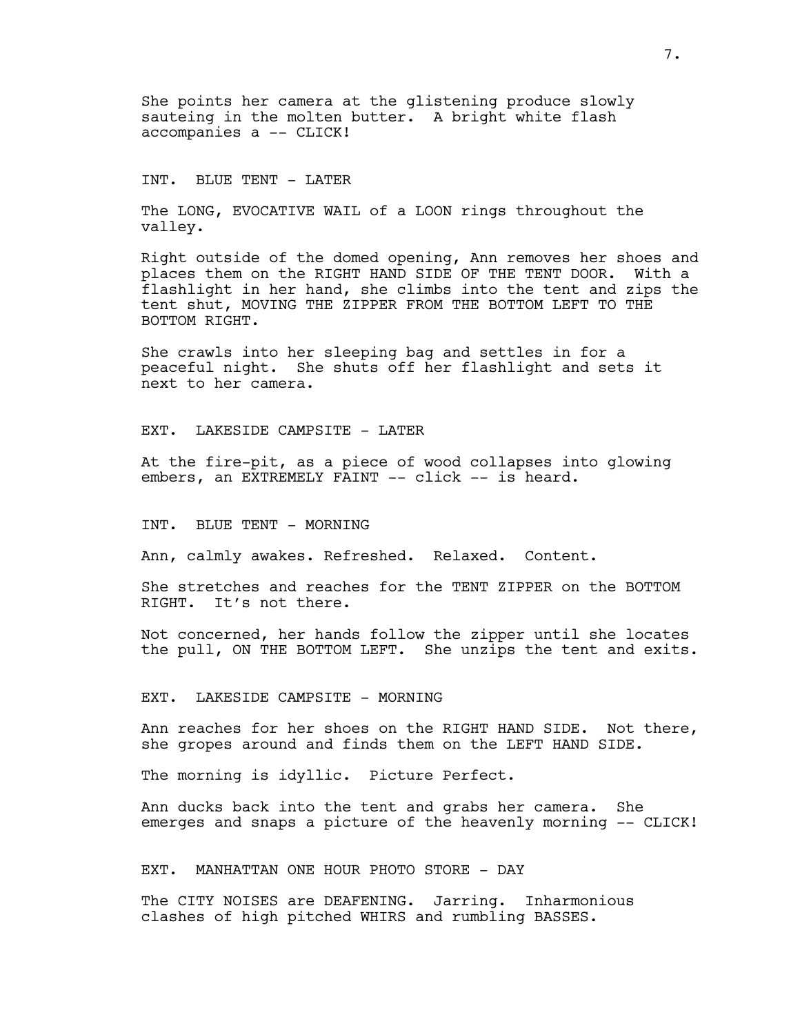She points her camera at the glistening produce slowly sauteing in the molten butter. A bright white flash accompanies a -- CLICK!

#### INT. BLUE TENT - LATER

The LONG, EVOCATIVE WAIL of a LOON rings throughout the valley.

Right outside of the domed opening, Ann removes her shoes and places them on the RIGHT HAND SIDE OF THE TENT DOOR. With a flashlight in her hand, she climbs into the tent and zips the tent shut, MOVING THE ZIPPER FROM THE BOTTOM LEFT TO THE BOTTOM RIGHT.

She crawls into her sleeping bag and settles in for a peaceful night. She shuts off her flashlight and sets it next to her camera.

#### EXT. LAKESIDE CAMPSITE - LATER

At the fire-pit, as a piece of wood collapses into glowing embers, an EXTREMELY FAINT -- click -- is heard.

#### INT. BLUE TENT - MORNING

Ann, calmly awakes. Refreshed. Relaxed. Content.

She stretches and reaches for the TENT ZIPPER on the BOTTOM RIGHT. It's not there.

Not concerned, her hands follow the zipper until she locates the pull, ON THE BOTTOM LEFT. She unzips the tent and exits.

#### EXT. LAKESIDE CAMPSITE - MORNING

Ann reaches for her shoes on the RIGHT HAND SIDE. Not there, she gropes around and finds them on the LEFT HAND SIDE.

The morning is idyllic. Picture Perfect.

Ann ducks back into the tent and grabs her camera. She emerges and snaps a picture of the heavenly morning -- CLICK!

#### EXT. MANHATTAN ONE HOUR PHOTO STORE - DAY

The CITY NOISES are DEAFENING. Jarring. Inharmonious clashes of high pitched WHIRS and rumbling BASSES.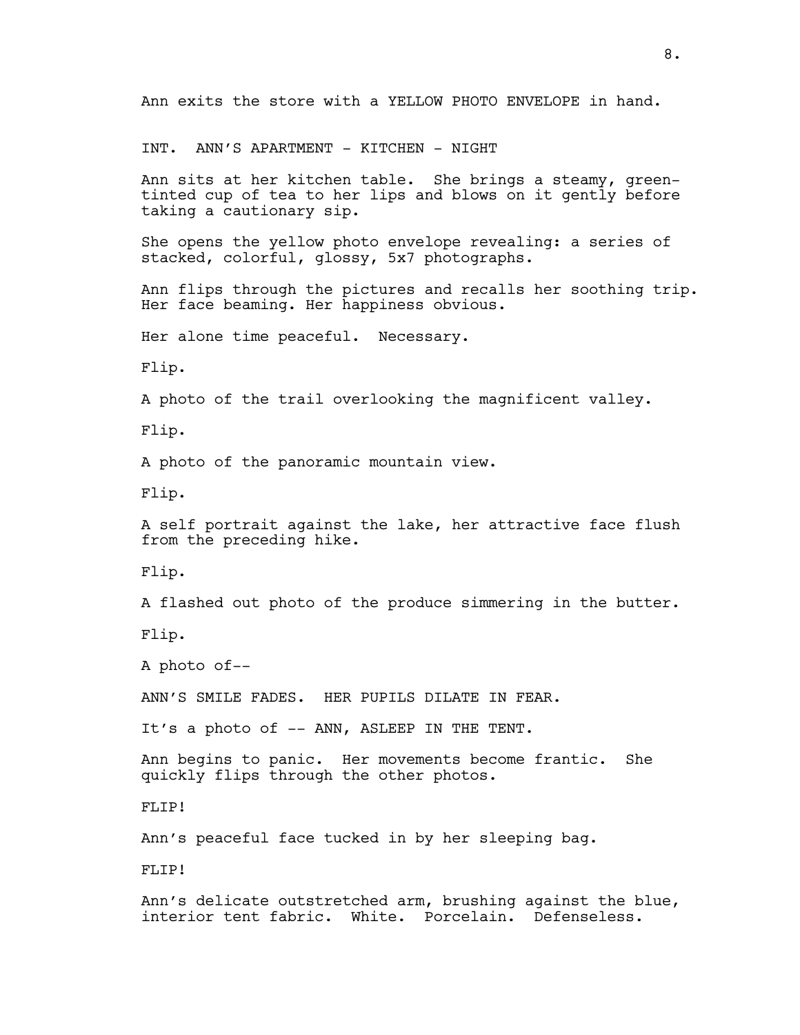Ann exits the store with a YELLOW PHOTO ENVELOPE in hand.

INT. ANN'S APARTMENT - KITCHEN - NIGHT

Ann sits at her kitchen table. She brings a steamy, greentinted cup of tea to her lips and blows on it gently before taking a cautionary sip.

She opens the yellow photo envelope revealing: a series of stacked, colorful, glossy, 5x7 photographs.

Ann flips through the pictures and recalls her soothing trip. Her face beaming. Her happiness obvious.

Her alone time peaceful. Necessary.

Flip.

A photo of the trail overlooking the magnificent valley.

Flip.

A photo of the panoramic mountain view.

Flip.

A self portrait against the lake, her attractive face flush from the preceding hike.

Flip.

A flashed out photo of the produce simmering in the butter.

Flip.

A photo of--

ANN'S SMILE FADES. HER PUPILS DILATE IN FEAR.

It's a photo of -- ANN, ASLEEP IN THE TENT.

Ann begins to panic. Her movements become frantic. She quickly flips through the other photos.

FLIP!

Ann's peaceful face tucked in by her sleeping bag.

FLIP!

Ann's delicate outstretched arm, brushing against the blue, interior tent fabric. White. Porcelain. Defenseless.